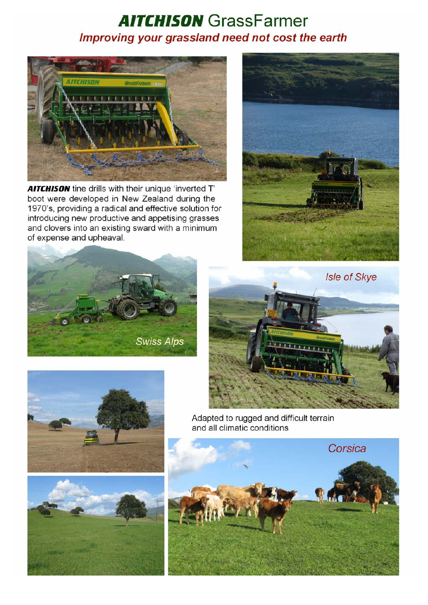## **AITCHISON** GrassFarmer Improving your grassland need not cost the earth



AITCHISON tine drills with their unique 'inverted T' boot were developed in New Zealand during the 1970's, providing a radical and effective solution for introducing new productive and appetising grasses and clovers into an existing sward with a minimum of expense and upheaval.







Adapted to rugged and difficult terrain and all climatic conditions